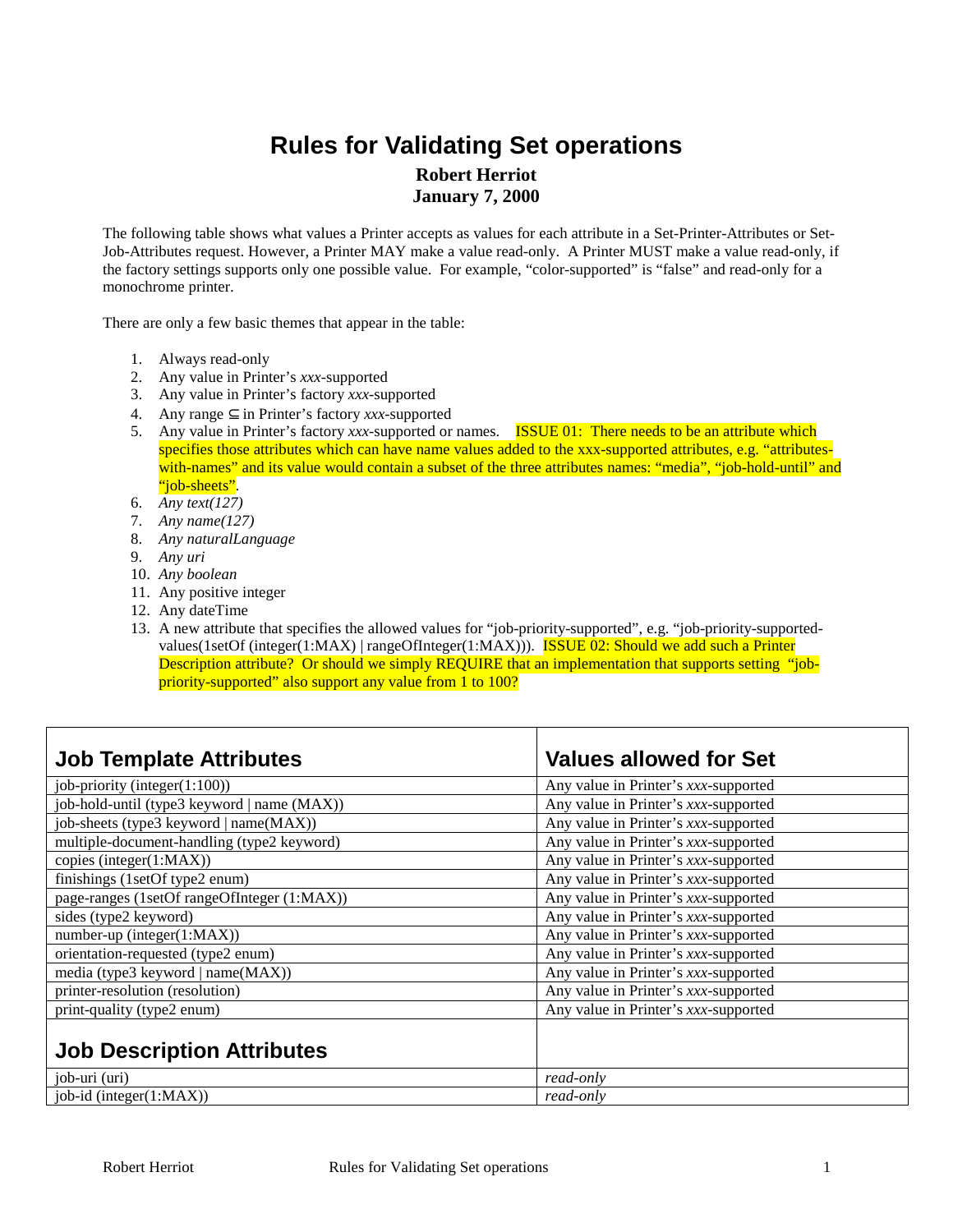## **Rules for Validating Set operations Robert Herriot January 7, 2000**

The following table shows what values a Printer accepts as values for each attribute in a Set-Printer-Attributes or Set-Job-Attributes request. However, a Printer MAY make a value read-only. A Printer MUST make a value read-only, if the factory settings supports only one possible value. For example, "color-supported" is "false" and read-only for a monochrome printer.

There are only a few basic themes that appear in the table:

- 1. Always read-only
- 2. Any value in Printer's *xxx*-supported
- 3. Any value in Printer's factory *xxx*-supported
- 4. Any range ⊆ in Printer's factory *xxx*-supported
- 5. Any value in Printer's factory *xxx*-supported or names. ISSUE 01: There needs to be an attribute which specifies those attributes which can have name values added to the xxx-supported attributes, e.g. "attributeswith-names" and its value would contain a subset of the three attributes names: "media", "job-hold-until" and "job-sheets".
- 6. *Any text(127)*
- 7. *Any name(127)*
- 8. *Any naturalLanguage*
- 9. *Any uri*
- 10. *Any boolean*
- 11. Any positive integer
- 12. Any dateTime
- 13. A new attribute that specifies the allowed values for "job-priority-supported", e.g. "job-priority-supportedvalues(1setOf (integer(1:MAX) | rangeOfInteger(1:MAX))). ISSUE 02: Should we add such a Printer Description attribute? Or should we simply REQUIRE that an implementation that supports setting "jobpriority-supported" also support any value from 1 to 100?

| <b>Job Template Attributes</b>              | <b>Values allowed for Set</b>        |
|---------------------------------------------|--------------------------------------|
| job-priority (integer(1:100))               | Any value in Printer's xxx-supported |
| job-hold-until (type3 keyword   name (MAX)) | Any value in Printer's xxx-supported |
| job-sheets (type3 keyword   name(MAX))      | Any value in Printer's xxx-supported |
| multiple-document-handling (type2 keyword)  | Any value in Printer's xxx-supported |
| copies (integer(1:MAX))                     | Any value in Printer's xxx-supported |
| finishings (1setOf type2 enum)              | Any value in Printer's xxx-supported |
| page-ranges (1setOf rangeOfInteger (1:MAX)) | Any value in Printer's xxx-supported |
| sides (type2 keyword)                       | Any value in Printer's xxx-supported |
| number-up (integer(1:MAX))                  | Any value in Printer's xxx-supported |
| orientation-requested (type2 enum)          | Any value in Printer's xxx-supported |
| media (type3 keyword   name(MAX))           | Any value in Printer's xxx-supported |
| printer-resolution (resolution)             | Any value in Printer's xxx-supported |
| print-quality (type2 enum)                  | Any value in Printer's xxx-supported |
| <b>Job Description Attributes</b>           |                                      |
| job-uri (uri)                               | read-only                            |
| job-id (integer(1:MAX))                     | read-only                            |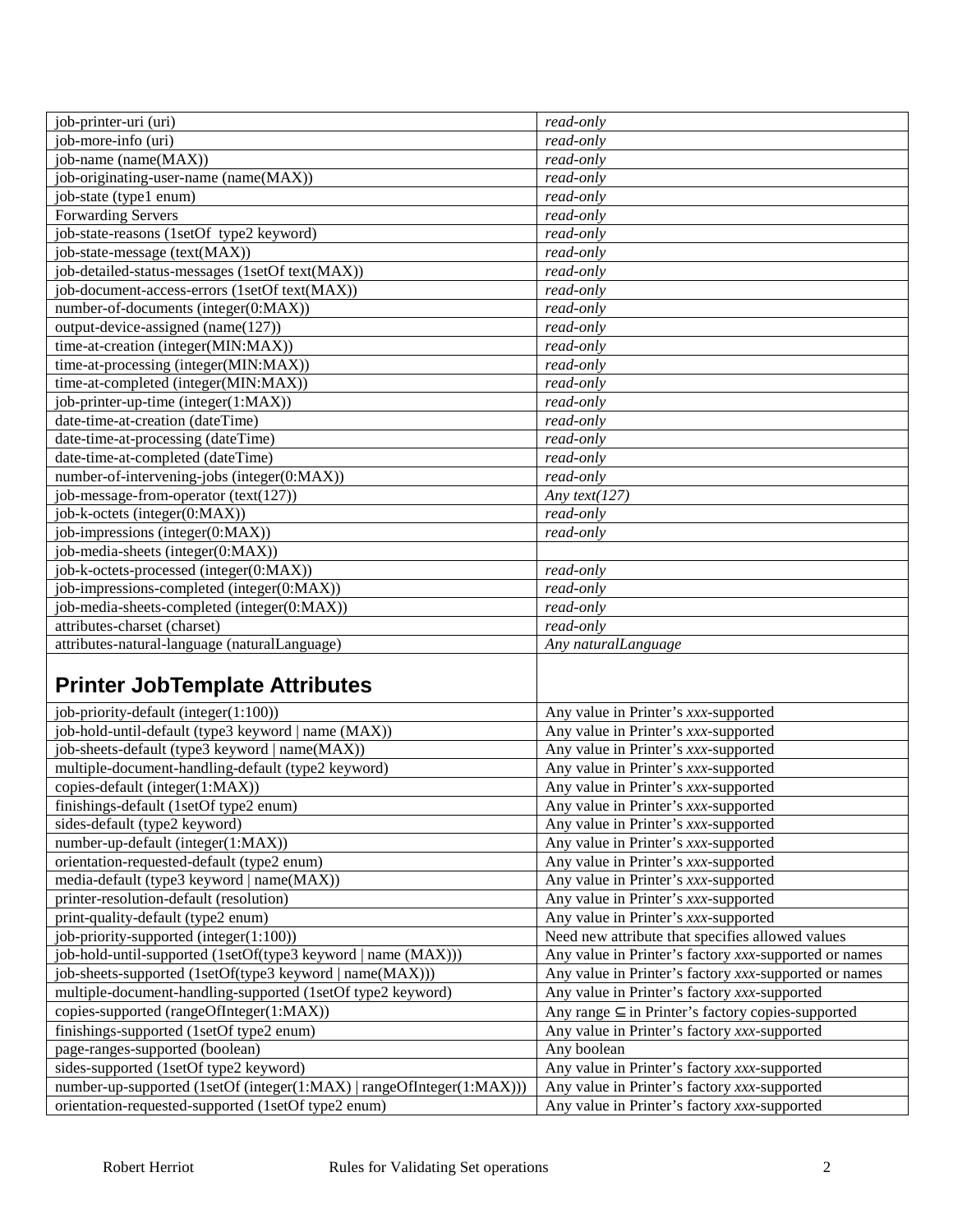| job-printer-uri (uri)                                                 | read-only                                                   |
|-----------------------------------------------------------------------|-------------------------------------------------------------|
| job-more-info (uri)                                                   | read-only                                                   |
| job-name (name(MAX))                                                  | read-only                                                   |
| job-originating-user-name (name(MAX))                                 | read-only                                                   |
| job-state (type1 enum)                                                | read-only                                                   |
| <b>Forwarding Servers</b>                                             | read-only                                                   |
| job-state-reasons (1setOf type2 keyword)                              | read-only                                                   |
| job-state-message (text(MAX))                                         | read-only                                                   |
| job-detailed-status-messages (1setOf text(MAX))                       | read-only                                                   |
| job-document-access-errors (1setOf text(MAX))                         | read-only                                                   |
| number-of-documents (integer(0:MAX))                                  | read-only                                                   |
| output-device-assigned (name(127))                                    | read-only                                                   |
| time-at-creation (integer(MIN:MAX))                                   | read-only                                                   |
| time-at-processing (integer(MIN:MAX))                                 | read-only                                                   |
| time-at-completed (integer(MIN:MAX))                                  | read-only                                                   |
| job-printer-up-time (integer(1:MAX))                                  | read-only                                                   |
| date-time-at-creation (dateTime)                                      | read-only                                                   |
| date-time-at-processing (dateTime)                                    | read-only                                                   |
| date-time-at-completed (dateTime)                                     | read-only                                                   |
| number-of-intervening-jobs (integer(0:MAX))                           | read-only                                                   |
| job-message-from-operator (text(127))                                 | Any text( $127$ )                                           |
| $\overline{job-k}$ -octets (integer(0:MAX))                           | read-only                                                   |
| job-impressions (integer(0:MAX))                                      | read-only                                                   |
| job-media-sheets (integer(0:MAX))                                     |                                                             |
| job-k-octets-processed (integer(0:MAX))                               | read-only                                                   |
| job-impressions-completed (integer(0:MAX))                            | read-only                                                   |
| job-media-sheets-completed (integer(0:MAX))                           | read-only                                                   |
| attributes-charset (charset)                                          | read-only                                                   |
| attributes-natural-language (naturalLanguage)                         | Any naturalLanguage                                         |
|                                                                       |                                                             |
| <b>Printer JobTemplate Attributes</b>                                 |                                                             |
| job-priority-default (integer(1:100))                                 | Any value in Printer's xxx-supported                        |
| job-hold-until-default (type3 keyword   name (MAX))                   | Any value in Printer's xxx-supported                        |
| job-sheets-default (type3 keyword   name(MAX))                        | Any value in Printer's xxx-supported                        |
| multiple-document-handling-default (type2 keyword)                    | Any value in Printer's xxx-supported                        |
| copies-default (integer(1:MAX))                                       | Any value in Printer's xxx-supported                        |
| finishings-default (1setOf type2 enum)                                | Any value in Printer's xxx-supported                        |
| sides-default (type2 keyword)                                         | Any value in Printer's xxx-supported                        |
| number-up-default (integer(1:MAX))                                    | Any value in Printer's xxx-supported                        |
| orientation-requested-default (type2 enum)                            | Any value in Printer's xxx-supported                        |
| media-default (type3 keyword   name(MAX))                             | Any value in Printer's xxx-supported                        |
| printer-resolution-default (resolution)                               | Any value in Printer's xxx-supported                        |
| print-quality-default (type2 enum)                                    | Any value in Printer's xxx-supported                        |
| job-priority-supported (integer(1:100))                               | Need new attribute that specifies allowed values            |
| job-hold-until-supported (1setOf(type3 keyword   name (MAX)))         | Any value in Printer's factory xxx-supported or names       |
| job-sheets-supported (1setOf(type3 keyword   name(MAX)))              | Any value in Printer's factory xxx-supported or names       |
| multiple-document-handling-supported (1setOf type2 keyword)           | Any value in Printer's factory xxx-supported                |
| copies-supported (rangeOfInteger(1:MAX))                              | Any range $\subseteq$ in Printer's factory copies-supported |
| finishings-supported (1setOf type2 enum)                              | Any value in Printer's factory xxx-supported                |
| page-ranges-supported (boolean)                                       | Any boolean                                                 |
| sides-supported (1setOf type2 keyword)                                | Any value in Printer's factory xxx-supported                |
| number-up-supported (1setOf (integer(1:MAX)   rangeOfInteger(1:MAX))) | Any value in Printer's factory xxx-supported                |
| orientation-requested-supported (1setOf type2 enum)                   | Any value in Printer's factory xxx-supported                |